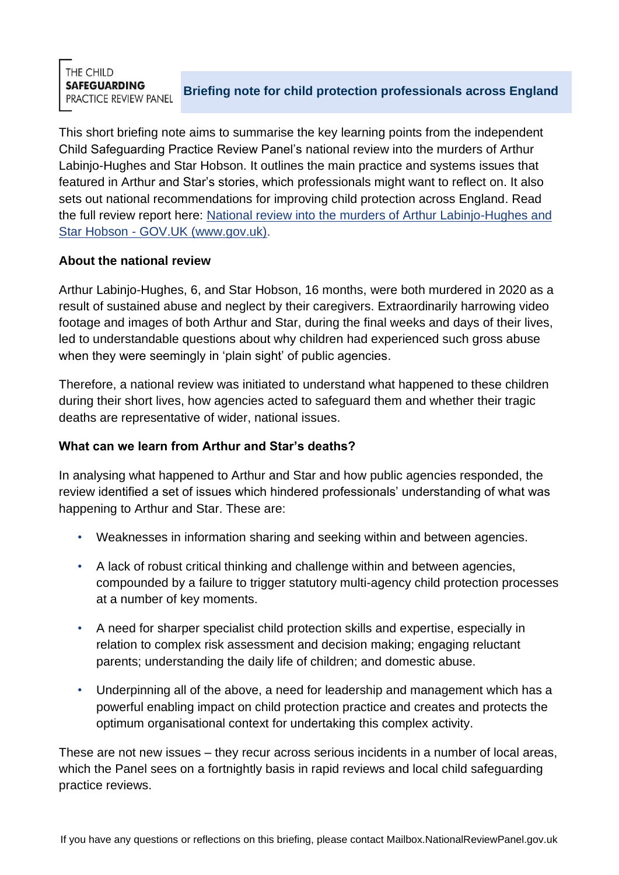THE CHILD **SAFEGUARDING** PRACTICE REVIEW PANEL

**Briefing note for child protection professionals across England**

This short briefing note aims to summarise the key learning points from the independent Child Safeguarding Practice Review Panel's national review into the murders of Arthur Labinjo-Hughes and Star Hobson. It outlines the main practice and systems issues that featured in Arthur and Star's stories, which professionals might want to reflect on. It also sets out national recommendations for improving child protection across England. Read the full review report here: [National review into the murders of Arthur Labinjo-Hughes and](https://www.gov.uk/government/publications/national-review-into-the-murders-of-arthur-labinjo-hughes-and-star-hobson)  Star Hobson - [GOV.UK \(www.gov.uk\).](https://www.gov.uk/government/publications/national-review-into-the-murders-of-arthur-labinjo-hughes-and-star-hobson)

### **About the national review**

Arthur Labinjo-Hughes, 6, and Star Hobson, 16 months, were both murdered in 2020 as a result of sustained abuse and neglect by their caregivers. Extraordinarily harrowing video footage and images of both Arthur and Star, during the final weeks and days of their lives, led to understandable questions about why children had experienced such gross abuse when they were seemingly in 'plain sight' of public agencies.

Therefore, a national review was initiated to understand what happened to these children during their short lives, how agencies acted to safeguard them and whether their tragic deaths are representative of wider, national issues.

# **What can we learn from Arthur and Star's deaths?**

In analysing what happened to Arthur and Star and how public agencies responded, the review identified a set of issues which hindered professionals' understanding of what was happening to Arthur and Star. These are:

- Weaknesses in information sharing and seeking within and between agencies.
- A lack of robust critical thinking and challenge within and between agencies, compounded by a failure to trigger statutory multi-agency child protection processes at a number of key moments.
- A need for sharper specialist child protection skills and expertise, especially in relation to complex risk assessment and decision making; engaging reluctant parents; understanding the daily life of children; and domestic abuse.
- Underpinning all of the above, a need for leadership and management which has a powerful enabling impact on child protection practice and creates and protects the optimum organisational context for undertaking this complex activity.

These are not new issues – they recur across serious incidents in a number of local areas, which the Panel sees on a fortnightly basis in rapid reviews and local child safeguarding practice reviews.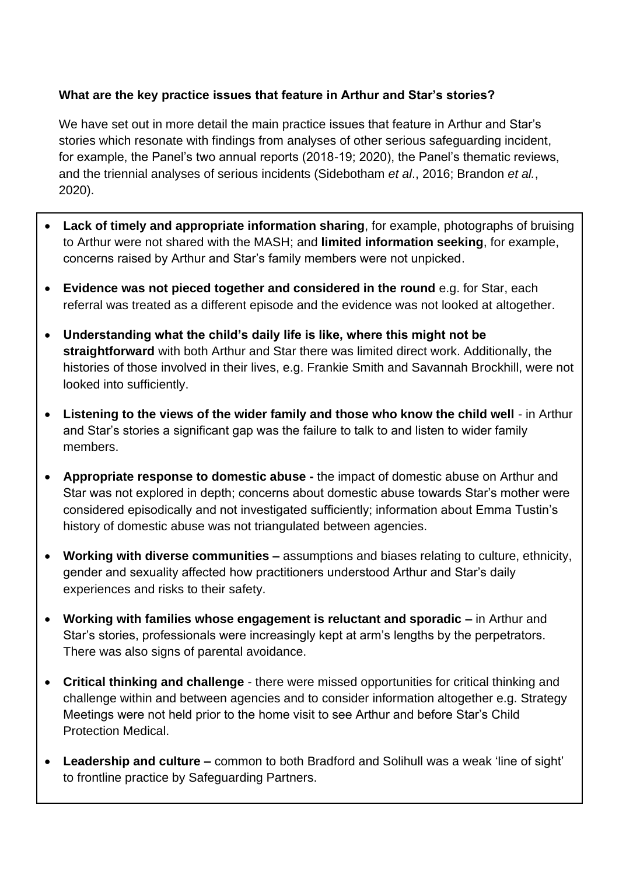# **What are the key practice issues that feature in Arthur and Star's stories?**

We have set out in more detail the main practice issues that feature in Arthur and Star's stories which resonate with findings from analyses of other serious safeguarding incident, for example, the Panel's two annual reports (2018-19; 2020), the Panel's thematic reviews, and the triennial analyses of serious incidents (Sidebotham *et al*., 2016; Brandon *et al.*, 2020).

- **Lack of timely and appropriate information sharing**, for example, photographs of bruising to Arthur were not shared with the MASH; and **limited information seeking**, for example, concerns raised by Arthur and Star's family members were not unpicked.
- **Evidence was not pieced together and considered in the round** e.g. for Star, each referral was treated as a different episode and the evidence was not looked at altogether.
- **Understanding what the child's daily life is like, where this might not be straightforward** with both Arthur and Star there was limited direct work. Additionally, the histories of those involved in their lives, e.g. Frankie Smith and Savannah Brockhill, were not looked into sufficiently.
- **Listening to the views of the wider family and those who know the child well**  in Arthur and Star's stories a significant gap was the failure to talk to and listen to wider family members.
- **Appropriate response to domestic abuse -** the impact of domestic abuse on Arthur and Star was not explored in depth; concerns about domestic abuse towards Star's mother were considered episodically and not investigated sufficiently; information about Emma Tustin's history of domestic abuse was not triangulated between agencies.
- **Working with diverse communities –** assumptions and biases relating to culture, ethnicity, gender and sexuality affected how practitioners understood Arthur and Star's daily experiences and risks to their safety.
- **Working with families whose engagement is reluctant and sporadic –** in Arthur and Star's stories, professionals were increasingly kept at arm's lengths by the perpetrators. There was also signs of parental avoidance.
- **Critical thinking and challenge**  there were missed opportunities for critical thinking and challenge within and between agencies and to consider information altogether e.g. Strategy Meetings were not held prior to the home visit to see Arthur and before Star's Child Protection Medical.
- **Leadership and culture –** common to both Bradford and Solihull was a weak 'line of sight' to frontline practice by Safeguarding Partners.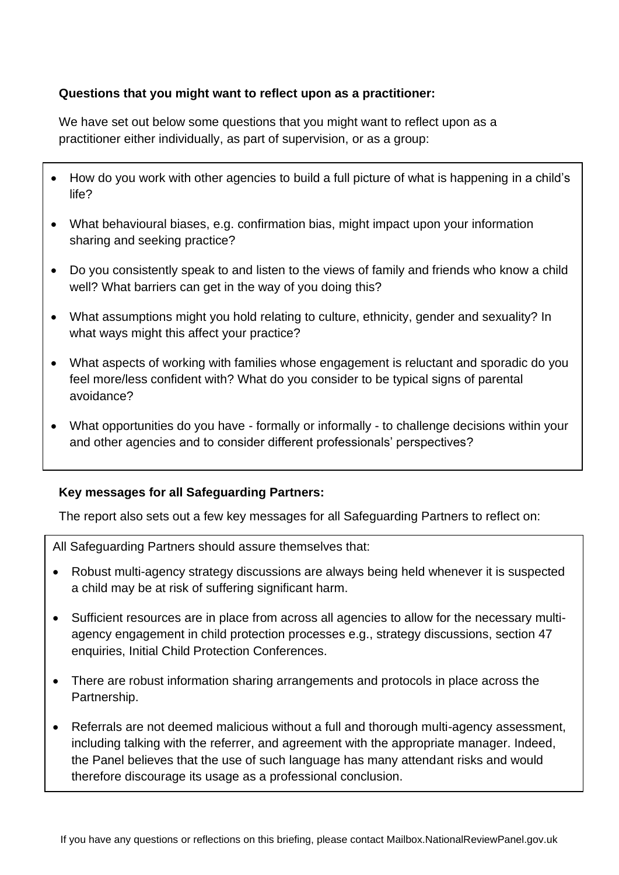# **Questions that you might want to reflect upon as a practitioner:**

We have set out below some questions that you might want to reflect upon as a practitioner either individually, as part of supervision, or as a group:

- How do you work with other agencies to build a full picture of what is happening in a child's life?
- What behavioural biases, e.g. confirmation bias, might impact upon your information sharing and seeking practice?
- Do you consistently speak to and listen to the views of family and friends who know a child well? What barriers can get in the way of you doing this?
- What assumptions might you hold relating to culture, ethnicity, gender and sexuality? In what ways might this affect your practice?
- What aspects of working with families whose engagement is reluctant and sporadic do you feel more/less confident with? What do you consider to be typical signs of parental avoidance?
- What opportunities do you have formally or informally to challenge decisions within your and other agencies and to consider different professionals' perspectives?

### **Key messages for all Safeguarding Partners:**

The report also sets out a few key messages for all Safeguarding Partners to reflect on:

All Safeguarding Partners should assure themselves that:

- Robust multi-agency strategy discussions are always being held whenever it is suspected a child may be at risk of suffering significant harm.
- Sufficient resources are in place from across all agencies to allow for the necessary multiagency engagement in child protection processes e.g., strategy discussions, section 47 enquiries, Initial Child Protection Conferences.
- There are robust information sharing arrangements and protocols in place across the Partnership.
- Referrals are not deemed malicious without a full and thorough multi-agency assessment, including talking with the referrer, and agreement with the appropriate manager. Indeed, the Panel believes that the use of such language has many attendant risks and would therefore discourage its usage as a professional conclusion.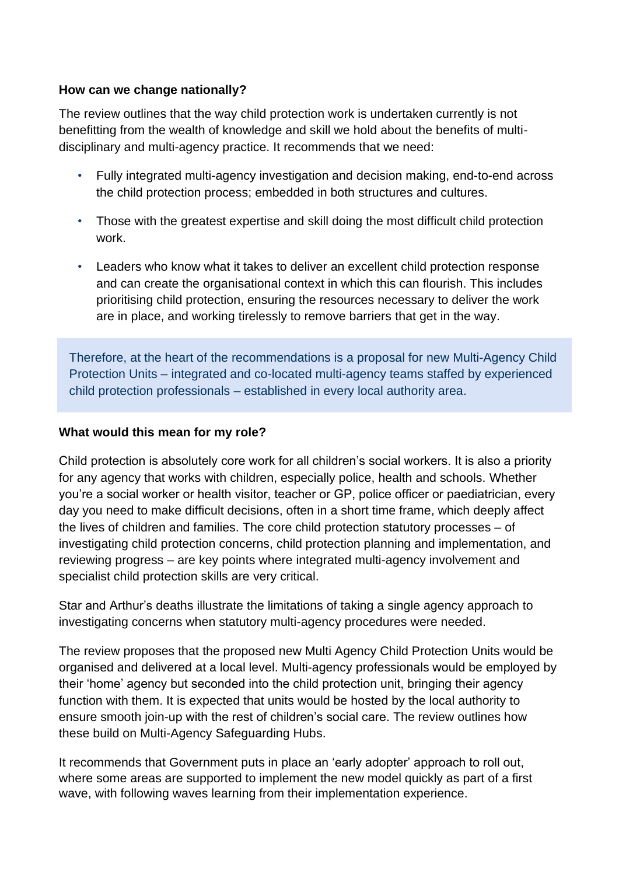## **How can we change nationally?**

The review outlines that the way child protection work is undertaken currently is not benefitting from the wealth of knowledge and skill we hold about the benefits of multidisciplinary and multi-agency practice. It recommends that we need:

- Fully integrated multi-agency investigation and decision making, end-to-end across the child protection process; embedded in both structures and cultures.
- Those with the greatest expertise and skill doing the most difficult child protection work.
- Leaders who know what it takes to deliver an excellent child protection response and can create the organisational context in which this can flourish. This includes prioritising child protection, ensuring the resources necessary to deliver the work are in place, and working tirelessly to remove barriers that get in the way.

Therefore, at the heart of the recommendations is a proposal for new Multi-Agency Child Protection Units – integrated and co-located multi-agency teams staffed by experienced child protection professionals – established in every local authority area.

### **What would this mean for my role?**

Child protection is absolutely core work for all children's social workers. It is also a priority for any agency that works with children, especially police, health and schools. Whether you're a social worker or health visitor, teacher or GP, police officer or paediatrician, every day you need to make difficult decisions, often in a short time frame, which deeply affect the lives of children and families. The core child protection statutory processes – of investigating child protection concerns, child protection planning and implementation, and reviewing progress – are key points where integrated multi-agency involvement and specialist child protection skills are very critical.

Star and Arthur's deaths illustrate the limitations of taking a single agency approach to investigating concerns when statutory multi-agency procedures were needed.

The review proposes that the proposed new Multi Agency Child Protection Units would be organised and delivered at a local level. Multi-agency professionals would be employed by their 'home' agency but seconded into the child protection unit, bringing their agency function with them. It is expected that units would be hosted by the local authority to ensure smooth join-up with the rest of children's social care. The review outlines how these build on Multi-Agency Safeguarding Hubs.

It recommends that Government puts in place an 'early adopter' approach to roll out, where some areas are supported to implement the new model quickly as part of a first wave, with following waves learning from their implementation experience.